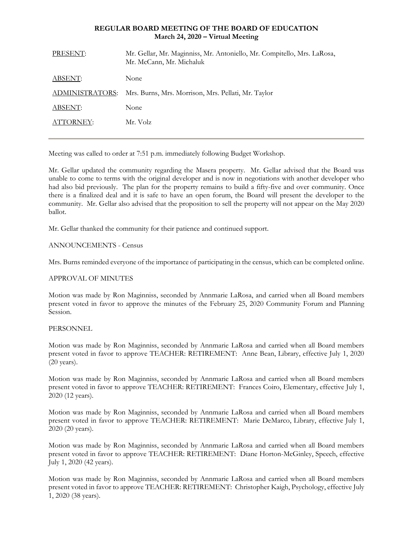### **REGULAR BOARD MEETING OF THE BOARD OF EDUCATION March 24, 2020 – Virtual Meeting**

| PRESENT:        | Mr. Gellar, Mr. Maginniss, Mr. Antoniello, Mr. Compitello, Mrs. LaRosa,<br>Mr. McCann, Mr. Michaluk |
|-----------------|-----------------------------------------------------------------------------------------------------|
| ABSENT:         | None                                                                                                |
| ADMINISTRATORS: | Mrs. Burns, Mrs. Morrison, Mrs. Pellati, Mr. Taylor                                                 |
| ABSENT:         | None                                                                                                |
| ATTORNEY:       | Mr. Volz                                                                                            |
|                 |                                                                                                     |

Meeting was called to order at 7:51 p.m. immediately following Budget Workshop.

Mr. Gellar updated the community regarding the Masera property. Mr. Gellar advised that the Board was unable to come to terms with the original developer and is now in negotiations with another developer who had also bid previously. The plan for the property remains to build a fifty-five and over community. Once there is a finalized deal and it is safe to have an open forum, the Board will present the developer to the community. Mr. Gellar also advised that the proposition to sell the property will not appear on the May 2020 ballot.

Mr. Gellar thanked the community for their patience and continued support.

# ANNOUNCEMENTS - Census

Mrs. Burns reminded everyone of the importance of participating in the census, which can be completed online.

### APPROVAL OF MINUTES

Motion was made by Ron Maginniss, seconded by Annmarie LaRosa, and carried when all Board members present voted in favor to approve the minutes of the February 25, 2020 Community Forum and Planning Session.

### PERSONNEL

Motion was made by Ron Maginniss, seconded by Annmarie LaRosa and carried when all Board members present voted in favor to approve TEACHER: RETIREMENT: Anne Bean, Library, effective July 1, 2020 (20 years).

Motion was made by Ron Maginniss, seconded by Annmarie LaRosa and carried when all Board members present voted in favor to approve TEACHER: RETIREMENT: Frances Coiro, Elementary, effective July 1, 2020 (12 years).

Motion was made by Ron Maginniss, seconded by Annmarie LaRosa and carried when all Board members present voted in favor to approve TEACHER: RETIREMENT: Marie DeMarco, Library, effective July 1, 2020 (20 years).

Motion was made by Ron Maginniss, seconded by Annmarie LaRosa and carried when all Board members present voted in favor to approve TEACHER: RETIREMENT: Diane Horton-McGinley, Speech, effective July 1, 2020 (42 years).

Motion was made by Ron Maginniss, seconded by Annmarie LaRosa and carried when all Board members present voted in favor to approve TEACHER: RETIREMENT: Christopher Kaigh, Psychology, effective July 1, 2020 (38 years).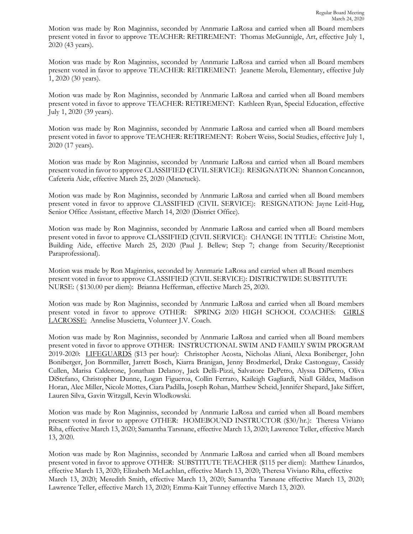Motion was made by Ron Maginniss, seconded by Annmarie LaRosa and carried when all Board members present voted in favor to approve TEACHER: RETIREMENT: Thomas McGunnigle, Art, effective July 1, 2020 (43 years).

Motion was made by Ron Maginniss, seconded by Annmarie LaRosa and carried when all Board members present voted in favor to approve TEACHER: RETIREMENT: Jeanette Merola, Elementary, effective July 1, 2020 (30 years).

Motion was made by Ron Maginniss, seconded by Annmarie LaRosa and carried when all Board members present voted in favor to approve TEACHER: RETIREMENT: Kathleen Ryan, Special Education, effective July 1, 2020 (39 years).

Motion was made by Ron Maginniss, seconded by Annmarie LaRosa and carried when all Board members present voted in favor to approve TEACHER: RETIREMENT: Robert Weiss, Social Studies, effective July 1, 2020 (17 years).

Motion was made by Ron Maginniss, seconded by Annmarie LaRosa and carried when all Board members present voted in favor to approve CLASSIFIED **(**CIVIL SERVICE):RESIGNATION: Shannon Concannon, Cafeteria Aide, effective March 25, 2020 (Manetuck).

Motion was made by Ron Maginniss, seconded by Annmarie LaRosa and carried when all Board members present voted in favor to approve CLASSIFIED (CIVIL SERVICE): RESIGNATION: Jayne Leitl-Hug, Senior Office Assistant, effective March 14, 2020 (District Office).

Motion was made by Ron Maginniss, seconded by Annmarie LaRosa and carried when all Board members present voted in favor to approve CLASSIFIED (CIVIL SERVICE): CHANGE IN TITLE: Christine Mott, Building Aide, effective March 25, 2020 (Paul J. Bellew; Step 7; change from Security/Receptionist Paraprofessional).

Motion was made by Ron Maginniss, seconded by Annmarie LaRosa and carried when all Board members present voted in favor to approve CLASSIFIED (CIVIL SERVICE): DISTRICTWIDE SUBSTITUTE NURSE: ( \$130.00 per diem): Brianna Hefferman, effective March 25, 2020.

Motion was made by Ron Maginniss, seconded by Annmarie LaRosa and carried when all Board members present voted in favor to approve OTHER: SPRING 2020 HIGH SCHOOL COACHES: GIRLS LACROSSE: Annelise Muscietta, Volunteer J.V. Coach.

Motion was made by Ron Maginniss, seconded by Annmarie LaRosa and carried when all Board members present voted in favor to approve OTHER: INSTRUCTIONAL SWIM AND FAMILY SWIM PROGRAM 2019-2020: LIFEGUARDS (\$13 per hour): Christopher Acosta, Nicholas Aliani, Alexa Boniberger, John Boniberger, Jon Bornmiller, Jarrett Bosch, Kiarra Branigan, Jenny Brodmerkel, Drake Castonguay, Cassidy Cullen, Marisa Calderone, Jonathan Delanoy, Jack Delli-Pizzi, Salvatore DePetro, Alyssa DiPietro, Oliva DiStefano, Christopher Dunne, Logan Figueroa, Collin Ferraro, Kaileigh Gagliardi, Niall Gildea, Madison Horan, Alec Miller, Nicole Mottes, Ciara Padilla, Joseph Rohan, Matthew Scheid, Jennifer Shepard, Jake Siffert, Lauren Silva, Gavin Witzgall, Kevin Wlodkowski.

Motion was made by Ron Maginniss, seconded by Annmarie LaRosa and carried when all Board members present voted in favor to approve OTHER: HOMEBOUND INSTRUCTOR (\$30/hr.): Theresa Viviano Riha, effective March 13, 2020; Samantha Tarsnane, effective March 13, 2020; Lawrence Teller, effective March 13, 2020.

Motion was made by Ron Maginniss, seconded by Annmarie LaRosa and carried when all Board members present voted in favor to approve OTHER: SUBSTITUTE TEACHER (\$115 per diem): Matthew Linardos, effective March 13, 2020; Elizabeth McLachlan, effective March 13, 2020; Theresa Viviano Riha, effective March 13, 2020; Meredith Smith, effective March 13, 2020; Samantha Tarsnane effective March 13, 2020; Lawrence Teller, effective March 13, 2020; Emma-Kait Tunney effective March 13, 2020.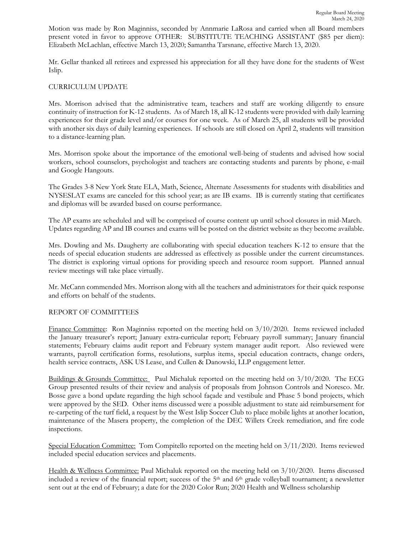Motion was made by Ron Maginniss, seconded by Annmarie LaRosa and carried when all Board members present voted in favor to approve OTHER: SUBSTITUTE TEACHING ASSISTANT (\$85 per diem): Elizabeth McLachlan, effective March 13, 2020; Samantha Tarsnane, effective March 13, 2020.

Mr. Gellar thanked all retirees and expressed his appreciation for all they have done for the students of West Islip.

# CURRICULUM UPDATE

Mrs. Morrison advised that the administrative team, teachers and staff are working diligently to ensure continuity of instruction for K-12 students. As of March 18, all K-12 students were provided with daily learning experiences for their grade level and/or courses for one week. As of March 25, all students will be provided with another six days of daily learning experiences. If schools are still closed on April 2, students will transition to a distance-learning plan.

Mrs. Morrison spoke about the importance of the emotional well-being of students and advised how social workers, school counselors, psychologist and teachers are contacting students and parents by phone, e-mail and Google Hangouts.

The Grades 3-8 New York State ELA, Math, Science, Alternate Assessments for students with disabilities and NYSESLAT exams are canceled for this school year; as are IB exams. IB is currently stating that certificates and diplomas will be awarded based on course performance.

The AP exams are scheduled and will be comprised of course content up until school closures in mid-March. Updates regarding AP and IB courses and exams will be posted on the district website as they become available.

Mrs. Dowling and Ms. Daugherty are collaborating with special education teachers K-12 to ensure that the needs of special education students are addressed as effectively as possible under the current circumstances. The district is exploring virtual options for providing speech and resource room support. Planned annual review meetings will take place virtually.

Mr. McCann commended Mrs. Morrison along with all the teachers and administrators for their quick response and efforts on behalf of the students.

# REPORT OF COMMITTEES

Finance Committee: Ron Maginniss reported on the meeting held on 3/10/2020. Items reviewed included the January treasurer's report; January extra-curricular report; February payroll summary; January financial statements; February claims audit report and February system manager audit report. Also reviewed were warrants, payroll certification forms, resolutions, surplus items, special education contracts, change orders, health service contracts, ASK US Lease, and Cullen & Danowski, LLP engagement letter.

Buildings & Grounds Committee: Paul Michaluk reported on the meeting held on 3/10/2020. The ECG Group presented results of their review and analysis of proposals from Johnson Controls and Noresco. Mr. Bosse gave a bond update regarding the high school façade and vestibule and Phase 5 bond projects, which were approved by the SED. Other items discussed were a possible adjustment to state aid reimbursement for re-carpeting of the turf field, a request by the West Islip Soccer Club to place mobile lights at another location, maintenance of the Masera property, the completion of the DEC Willets Creek remediation, and fire code inspections.

Special Education Committee: Tom Compitello reported on the meeting held on 3/11/2020. Items reviewed included special education services and placements.

Health & Wellness Committee: Paul Michaluk reported on the meeting held on 3/10/2020. Items discussed included a review of the financial report; success of the 5th and 6th grade volleyball tournament; a newsletter sent out at the end of February; a date for the 2020 Color Run; 2020 Health and Wellness scholarship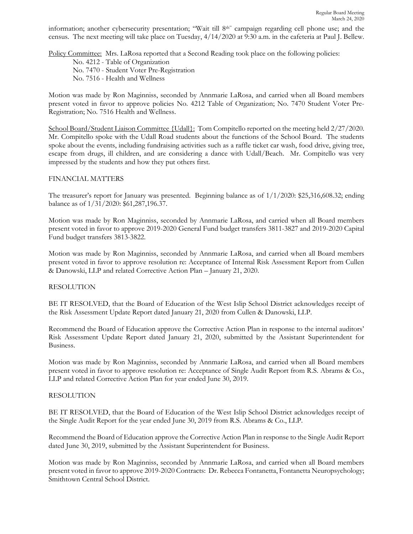information; another cybersecurity presentation; "Wait till 8th" campaign regarding cell phone use; and the census. The next meeting will take place on Tuesday, 4/14/2020 at 9:30 a.m. in the cafeteria at Paul J. Bellew.

Policy Committee: Mrs. LaRosa reported that a Second Reading took place on the following policies:

No. 4212 - Table of Organization No. 7470 - Student Voter Pre-Registration No. 7516 - Health and Wellness

Motion was made by Ron Maginniss, seconded by Annmarie LaRosa, and carried when all Board members present voted in favor to approve policies No. 4212 Table of Organization; No. 7470 Student Voter Pre-Registration; No. 7516 Health and Wellness.

School Board/Student Liaison Committee {Udall}: Tom Compitello reported on the meeting held 2/27/2020. Mr. Compitello spoke with the Udall Road students about the functions of the School Board. The students spoke about the events, including fundraising activities such as a raffle ticket car wash, food drive, giving tree, escape from drugs, ill children, and are considering a dance with Udall/Beach. Mr. Compitello was very impressed by the students and how they put others first.

# FINANCIAL MATTERS

The treasurer's report for January was presented. Beginning balance as of 1/1/2020: \$25,316,608.32; ending balance as of 1/31/2020: \$61,287,196.37.

Motion was made by Ron Maginniss, seconded by Annmarie LaRosa, and carried when all Board members present voted in favor to approve 2019-2020 General Fund budget transfers 3811-3827 and 2019-2020 Capital Fund budget transfers 3813-3822.

Motion was made by Ron Maginniss, seconded by Annmarie LaRosa, and carried when all Board members present voted in favor to approve resolution re: Acceptance of Internal Risk Assessment Report from Cullen & Danowski, LLP and related Corrective Action Plan – January 21, 2020.

### RESOLUTION

BE IT RESOLVED, that the Board of Education of the West Islip School District acknowledges receipt of the Risk Assessment Update Report dated January 21, 2020 from Cullen & Danowski, LLP.

Recommend the Board of Education approve the Corrective Action Plan in response to the internal auditors' Risk Assessment Update Report dated January 21, 2020, submitted by the Assistant Superintendent for Business.

Motion was made by Ron Maginniss, seconded by Annmarie LaRosa, and carried when all Board members present voted in favor to approve resolution re: Acceptance of Single Audit Report from R.S. Abrams & Co., LLP and related Corrective Action Plan for year ended June 30, 2019.

### RESOLUTION

BE IT RESOLVED, that the Board of Education of the West Islip School District acknowledges receipt of the Single Audit Report for the year ended June 30, 2019 from R.S. Abrams & Co., LLP.

Recommend the Board of Education approve the Corrective Action Plan in response to the Single Audit Report dated June 30, 2019, submitted by the Assistant Superintendent for Business.

Motion was made by Ron Maginniss, seconded by Annmarie LaRosa, and carried when all Board members present voted in favor to approve 2019-2020 Contracts: Dr. Rebecca Fontanetta, Fontanetta Neuropsychology; Smithtown Central School District.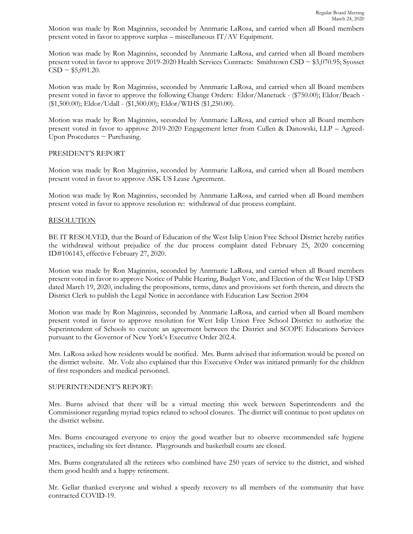Motion was made by Ron Maginniss, seconded by Annmarie LaRosa, and carried when all Board members present voted in favor to approve surplus – miscellaneous IT/AV Equipment.

Motion was made by Ron Maginniss, seconded by Annmarie LaRosa, and carried when all Board members present voted in favor to approve 2019-2020 Health Services Contracts: Smithtown CSD ~ \$3,070.95; Syosset  $CSD \sim $5,091.20$ .

Motion was made by Ron Maginniss, seconded by Annmarie LaRosa, and carried when all Board members present voted in favor to approve the following Change Orders: Eldor/Manetuck - (\$750.00); Eldor/Beach - (\$1,500.00); Eldor/Udall - (\$1,500.00); Eldor/WIHS (\$1,250.00).

Motion was made by Ron Maginniss, seconded by Annmarie LaRosa, and carried when all Board members present voted in favor to approve 2019-2020 Engagement letter from Cullen & Danowski, LLP – Agreed-Upon Procedures  $\sim$  Purchasing.

### PRESIDENT'S REPORT

Motion was made by Ron Maginniss, seconded by Annmarie LaRosa, and carried when all Board members present voted in favor to approve ASK US Lease Agreement.

Motion was made by Ron Maginniss, seconded by Annmarie LaRosa, and carried when all Board members present voted in favor to approve resolution re: withdrawal of due process complaint.

# RESOLUTION

BE IT RESOLVED, that the Board of Education of the West Islip Union Free School District hereby ratifies the withdrawal without prejudice of the due process complaint dated February 25, 2020 concerning ID#106143, effective February 27, 2020.

Motion was made by Ron Maginniss, seconded by Annmarie LaRosa, and carried when all Board members present voted in favor to approve Notice of Public Hearing, Budget Vote, and Election of the West Islip UFSD dated March 19, 2020, including the propositions, terms, dates and provisions set forth therein, and directs the District Clerk to publish the Legal Notice in accordance with Education Law Section 2004

Motion was made by Ron Maginniss, seconded by Annmarie LaRosa, and carried when all Board members present voted in favor to approve resolution for West Islip Union Free School District to authorize the Superintendent of Schools to execute an agreement between the District and SCOPE Educations Services pursuant to the Governor of New York's Executive Order 202.4.

Mrs. LaRosa asked how residents would be notified. Mrs. Burns advised that information would be posted on the district website. Mr. Volz also explained that this Executive Order was initiated primarily for the children of first responders and medical personnel.

### SUPERINTENDENT'S REPORT:

Mrs. Burns advised that there will be a virtual meeting this week between Superintendents and the Commissioner regarding myriad topics related to school closures. The district will continue to post updates on the district website.

Mrs. Burns encouraged everyone to enjoy the good weather but to observe recommended safe hygiene practices, including six feet distance. Playgrounds and basketball courts are closed.

Mrs. Burns congratulated all the retirees who combined have 250 years of service to the district, and wished them good health and a happy retirement.

Mr. Gellar thanked everyone and wished a speedy recovery to all members of the community that have contracted COVID-19.